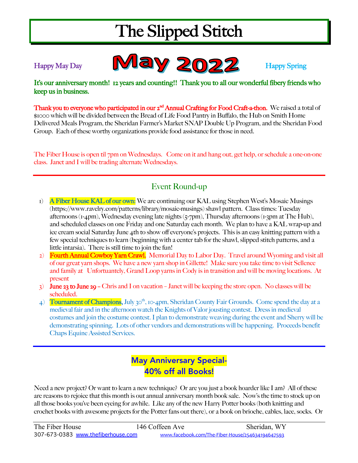# The Slipped Stitch

Happy May Day Nappy Spring

It's our anniversary month! 12 years and counting!! Thank you to all our wonderful fibery friends who keep us in business.

Thank you to everyone who participated in our 2<sup>nd</sup> Annual Crafting for Food Craft-a-thon. We raised a total of \$1000 which will be divided between the Bread of Life Food Pantry in Buffalo, the Hub on Smith Home Delivered Meals Program, the Sheridan Farmer's Market SNAP Double Up Program, and the Sheridan Food Group. Each of these worthy organizations provide food assistance for those in need.

The Fiber House is open til 7pm on Wednesdays. Come on it and hang out, get help, or schedule a one-on-one class. Janet and I will be trading alternate Wednesdays.

### Event Round-up

- 1) A Fiber House KAL of our own: We are continuing our KAL using Stephen West's Mosaic Musings (https://www.ravelry.com/patterns/library/mosaic-musings) shawl pattern. Class times: Tuesday afternoons (1-4pm), Wednesday evening late nights (5-7pm), Thursday afternoons (1-3pm at The Hub), and scheduled classes on one Friday and one Saturday each month. We plan to have a KAL wrap-up and ice cream social Saturday June 4th to show off everyone's projects. This is an easy knitting pattern with a few special techniques to learn (beginning with a center tab for the shawl, slipped stitch patterns, and a little intarsia). There is still time to join the fun!
- 2) Fourth Annual Cowboy Yarn Crawl. Memorial Day to Labor Day. Travel around Wyoming and visit all of our great yarn shops. We have a new yarn shop in Gillette! Make sure you take time to visit Sellenee and family at Unfortuantely, Grand Loop yarns in Cody is in transition and will be moving locations. At present
- 3) **June 23 to June 29 –** Chris and I on vacation Janet will be keeping the store open. No classes will be scheduled.
- 4) Tournament of Champions, July 30<sup>th</sup>, 10-4pm, Sheridan County Fair Grounds. Come spend the day at a medieval fair and in the afternoon watch the Knights of Valor jousting contest. Dress in medieval costumes and join the costume contest. I plan to demonstrate weaving during the event and Sherry will be demonstrating spinning. Lots of other vendors and demonstrations will be happening. Proceeds benefit Chaps Equine Assisted Services.

### May Anniversary Special-40% off all Books!

Need a new project? Or want to learn a new technique? Or are you just a book hoarder like I am? All of these are reasons to rejoice that this month is out annual anniversary month book sale. Now's the time to stock up on all those books you've been eyeing for awhile. Like any of the new Harry Potter books (both knitting and crochet books with awesome projects for the Potter fans out there), or a book on brioche, cables, lace, socks. Or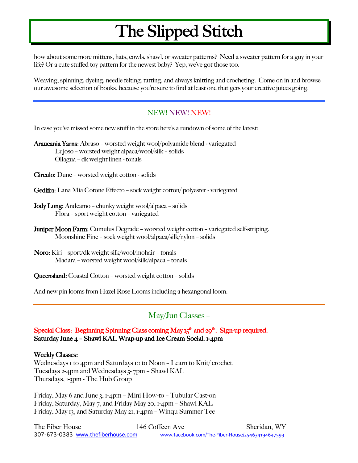## The Slipped Stitch

how about some more mittens, hats, cowls, shawl, or sweater patterns? Need a sweater pattern for a guy in your life? Or a cute stuffed toy pattern for the newest baby? Yep, we've got those too.

Weaving, spinning, dyeing, needle felting, tatting, and always knitting and crocheting. Come on in and browse our awesome selection of books, because you're sure to find at least one that gets your creative juices going.

#### NEW! NEW! NEW!

In case you've missed some new stuff in the store here's a rundown of some of the latest:

Araucania Yarns: Abraso – worsted weight wool/polyamide blend - variegated Lujoso – worsted weight alpaca/wool/silk – solids Ollagua – dk weight linen - tonals

Circulo: Dune – worsted weight cotton - solids

- Gedifra: Lana Mia Cotone Effecto sock weight cotton/ polyester variegated
- Jody Long: Andeamo chunky weight wool/alpaca solids Flora – sport weight cotton – variegated
- Juniper Moon Farm: Cumulus Degrade worsted weight cotton variegated self-striping. Moonshine Fine – sock weight wool/alpaca/silk/nylon – solids
- Noro: Kiri sport/dk weight silk/wool/mohair tonals Madara – worsted weight wool/silk/alpaca – tonals

Queensland: Coastal Cotton – worsted weight cotton – solids

And new pin looms from Hazel Rose Looms including a hexangonal loom.

#### May/Jun Classes –

Special Class: Beginning Spinning Class coming May  $I_5<sup>th</sup>$  and  $29<sup>th</sup>$ . Sign-up required. Saturday June 4 – Shawl KAL Wrap-up and Ice Cream Social. 1-4pm

#### Weekly Classes:

Wednesdays 1 to 4pm and Saturdays 10 to Noon - Learn to Knit/ crochet. Tuesdays 2-4pm and Wednesdays  $\frac{1}{7}$  7pm – Shawl KAL Thursdays, 1-3pm - The Hub Group

Friday, May 6 and June 3, 1-4pm – Mini How-to – Tubular Cast-on Friday, Saturday, May 7, and Friday May 20, 1-4pm – Shawl KAL Friday, May 13, and Saturday May 21, 1-4pm – Winqu Summer Tee